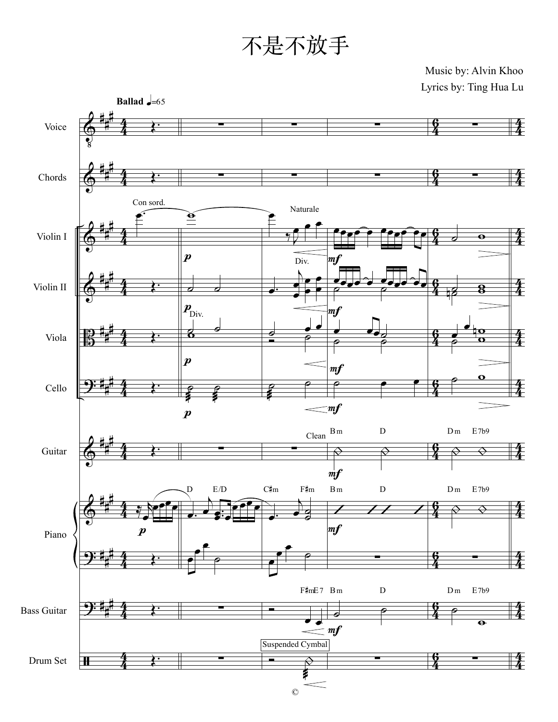Music by: Alvin Khoo Lyrics by: Ting Hua Lu

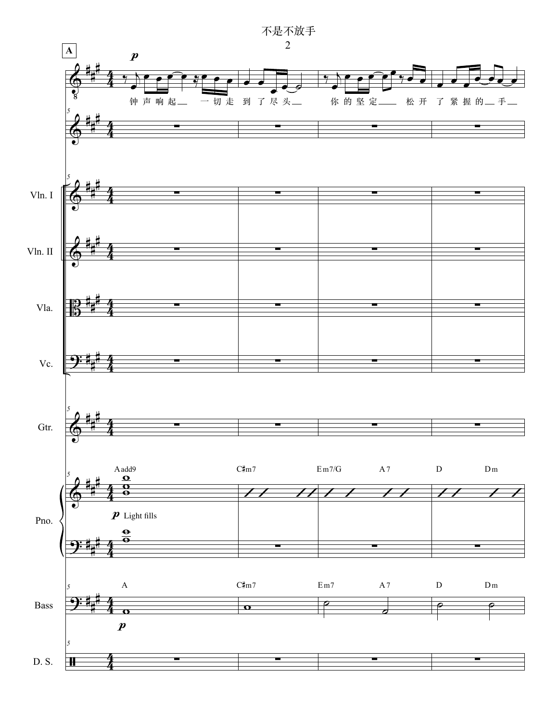

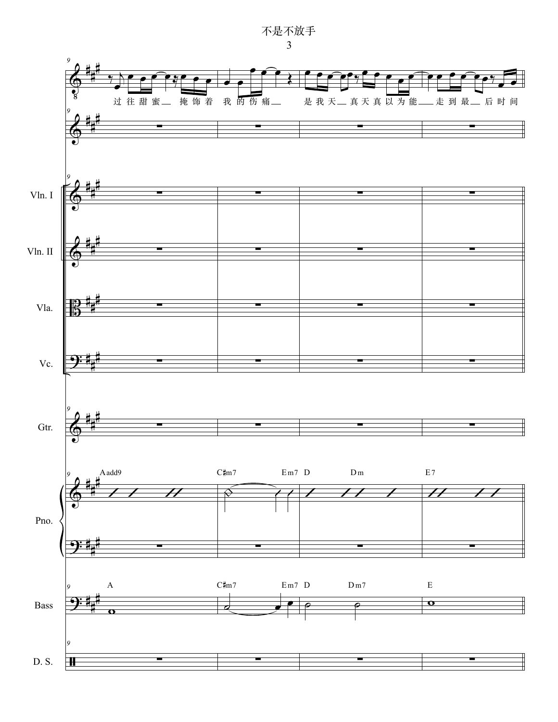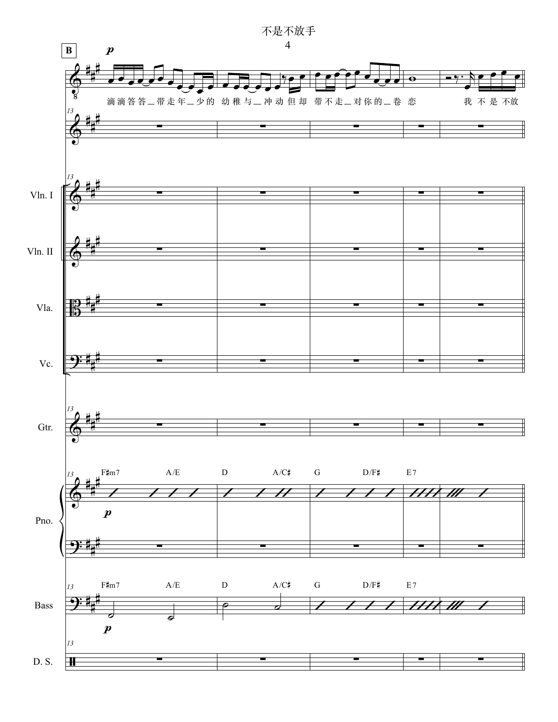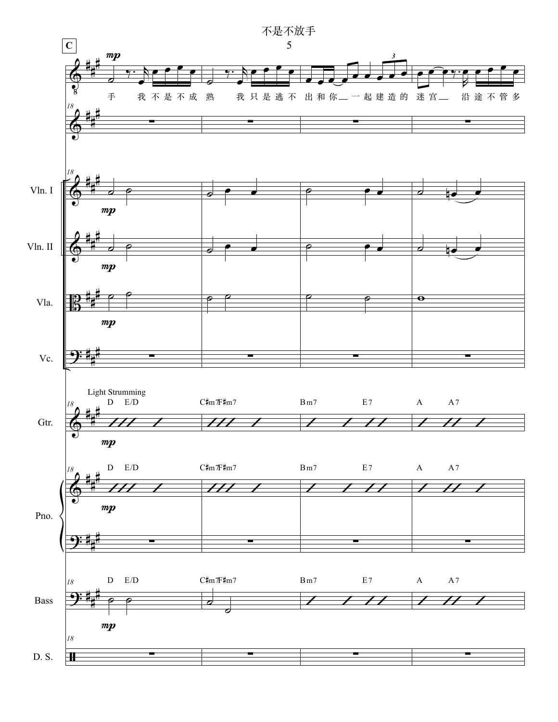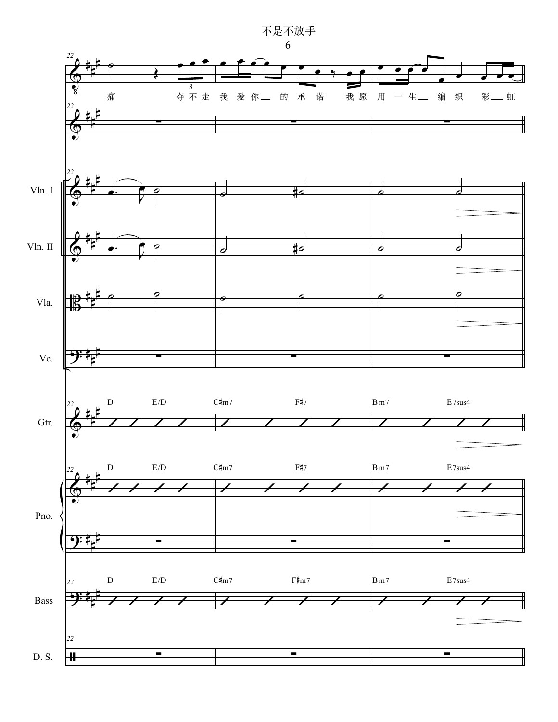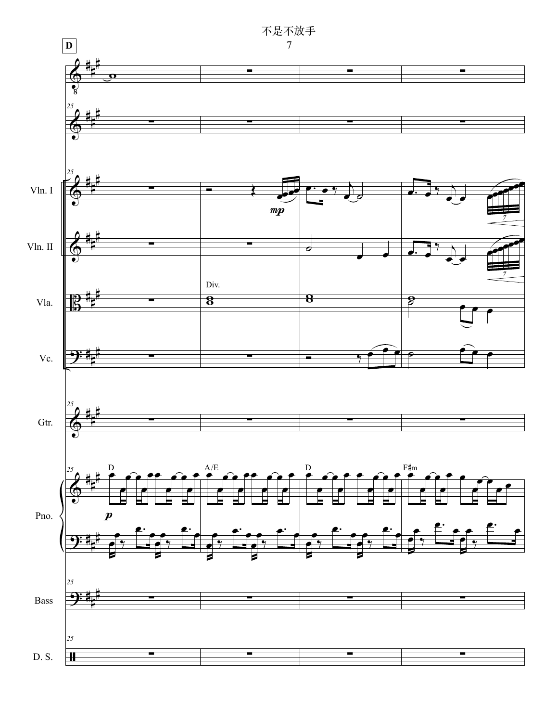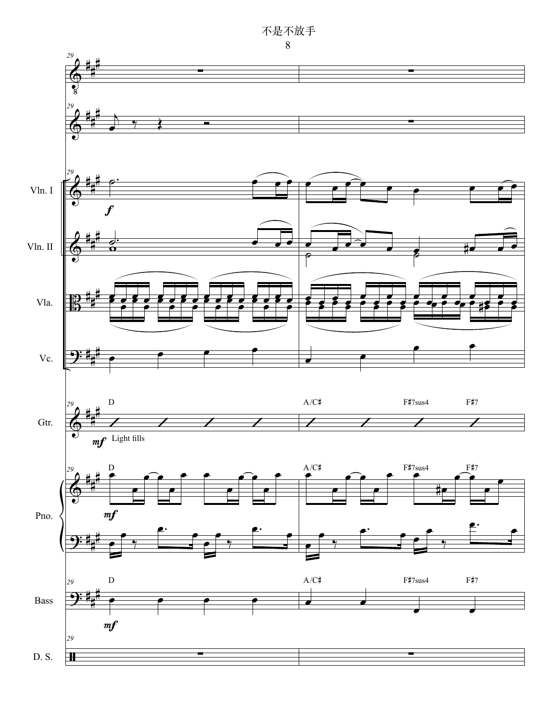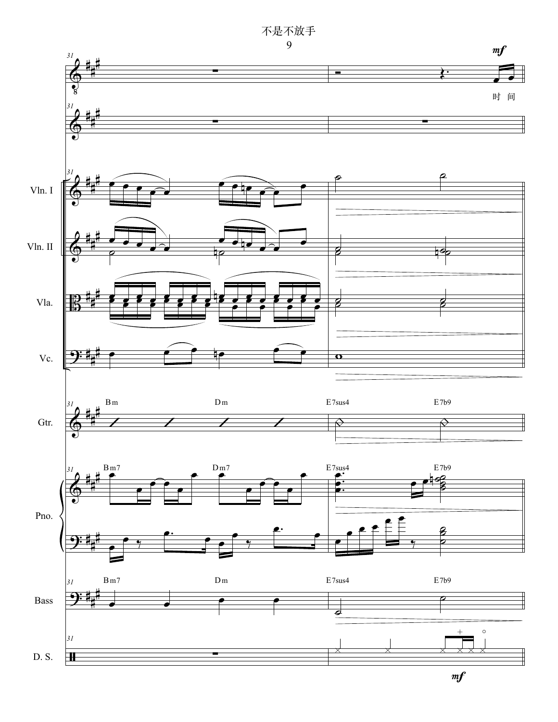不是不放手<br>9



 $m f$